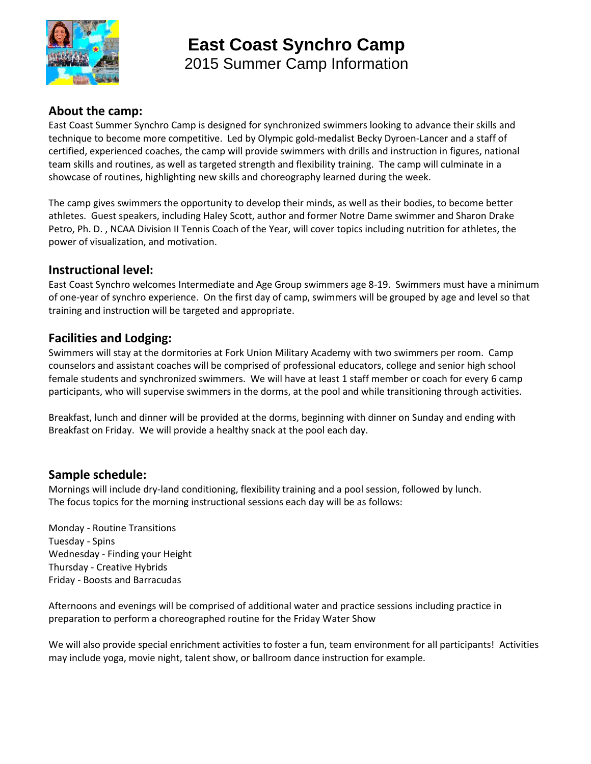

**East Coast Synchro Camp**

2015 Summer Camp Information

## **About the camp:**

East Coast Summer Synchro Camp is designed for synchronized swimmers looking to advance their skills and technique to become more competitive. Led by Olympic gold-medalist Becky Dyroen-Lancer and a staff of certified, experienced coaches, the camp will provide swimmers with drills and instruction in figures, national team skills and routines, as well as targeted strength and flexibility training. The camp will culminate in a showcase of routines, highlighting new skills and choreography learned during the week.

The camp gives swimmers the opportunity to develop their minds, as well as their bodies, to become better athletes. Guest speakers, including Haley Scott, author and former Notre Dame swimmer and Sharon Drake Petro, Ph. D. , NCAA Division II Tennis Coach of the Year, will cover topics including nutrition for athletes, the power of visualization, and motivation.

## **Instructional level:**

East Coast Synchro welcomes Intermediate and Age Group swimmers age 8-19. Swimmers must have a minimum of one-year of synchro experience. On the first day of camp, swimmers will be grouped by age and level so that training and instruction will be targeted and appropriate.

## **Facilities and Lodging:**

Swimmers will stay at the dormitories at Fork Union Military Academy with two swimmers per room. Camp counselors and assistant coaches will be comprised of professional educators, college and senior high school female students and synchronized swimmers. We will have at least 1 staff member or coach for every 6 camp participants, who will supervise swimmers in the dorms, at the pool and while transitioning through activities.

Breakfast, lunch and dinner will be provided at the dorms, beginning with dinner on Sunday and ending with Breakfast on Friday. We will provide a healthy snack at the pool each day.

### **Sample schedule:**

Mornings will include dry-land conditioning, flexibility training and a pool session, followed by lunch. The focus topics for the morning instructional sessions each day will be as follows:

Monday - Routine Transitions Tuesday - Spins Wednesday - Finding your Height Thursday - Creative Hybrids Friday - Boosts and Barracudas

Afternoons and evenings will be comprised of additional water and practice sessions including practice in preparation to perform a choreographed routine for the Friday Water Show

We will also provide special enrichment activities to foster a fun, team environment for all participants! Activities may include yoga, movie night, talent show, or ballroom dance instruction for example.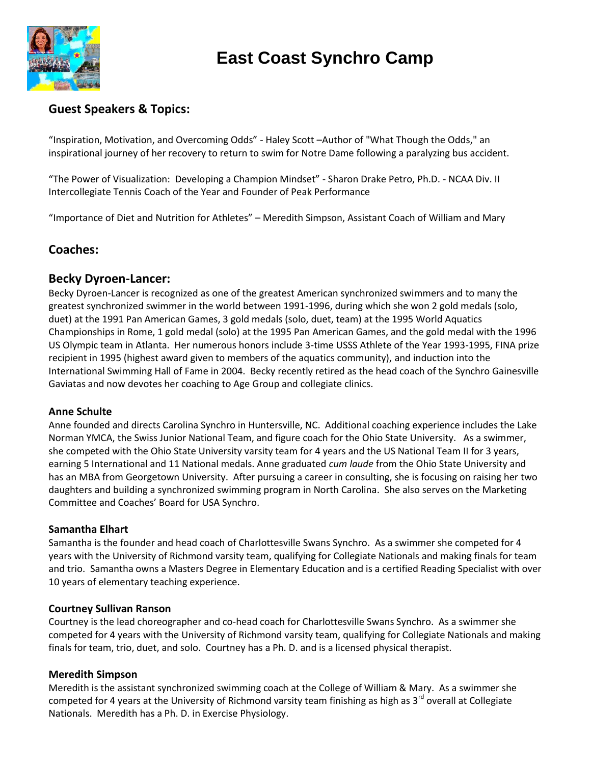

## **East Coast Synchro Camp**

## **Guest Speakers & Topics:**

"Inspiration, Motivation, and Overcoming Odds" - Haley Scott –Author of "What Though the Odds," an inspirational journey of her recovery to return to swim for Notre Dame following a paralyzing bus accident.

"The Power of Visualization: Developing a Champion Mindset" - Sharon Drake Petro, Ph.D. - NCAA Div. II Intercollegiate Tennis Coach of the Year and Founder of Peak Performance

"Importance of Diet and Nutrition for Athletes" – Meredith Simpson, Assistant Coach of William and Mary

## **Coaches:**

## **Becky Dyroen-Lancer:**

Becky Dyroen-Lancer is recognized as one of the greatest American synchronized swimmers and to many the greatest synchronized swimmer in the world between 1991-1996, during which she won 2 gold medals (solo, duet) at the 1991 Pan American Games, 3 gold medals (solo, duet, team) at the 1995 World Aquatics Championships in Rome, 1 gold medal (solo) at the 1995 Pan American Games, and the gold medal with the 1996 US Olympic team in Atlanta. Her numerous honors include 3-time USSS Athlete of the Year 1993-1995, FINA prize recipient in 1995 (highest award given to members of the aquatics community), and induction into the International Swimming Hall of Fame in 2004. Becky recently retired as the head coach of the Synchro Gainesville Gaviatas and now devotes her coaching to Age Group and collegiate clinics.

#### **Anne Schulte**

Anne founded and directs Carolina Synchro in Huntersville, NC. Additional coaching experience includes the Lake Norman YMCA, the Swiss Junior National Team, and figure coach for the Ohio State University. As a swimmer, she competed with the Ohio State University varsity team for 4 years and the US National Team II for 3 years, earning 5 International and 11 National medals. Anne graduated *cum laude* from the Ohio State University and has an MBA from Georgetown University. After pursuing a career in consulting, she is focusing on raising her two daughters and building a synchronized swimming program in North Carolina. She also serves on the Marketing Committee and Coaches' Board for USA Synchro.

#### **Samantha Elhart**

Samantha is the founder and head coach of Charlottesville Swans Synchro. As a swimmer she competed for 4 years with the University of Richmond varsity team, qualifying for Collegiate Nationals and making finals for team and trio. Samantha owns a Masters Degree in Elementary Education and is a certified Reading Specialist with over 10 years of elementary teaching experience.

#### **Courtney Sullivan Ranson**

Courtney is the lead choreographer and co-head coach for Charlottesville Swans Synchro. As a swimmer she competed for 4 years with the University of Richmond varsity team, qualifying for Collegiate Nationals and making finals for team, trio, duet, and solo. Courtney has a Ph. D. and is a licensed physical therapist.

#### **Meredith Simpson**

Meredith is the assistant synchronized swimming coach at the College of William & Mary. As a swimmer she competed for 4 years at the University of Richmond varsity team finishing as high as  $3^{rd}$  overall at Collegiate Nationals. Meredith has a Ph. D. in Exercise Physiology.